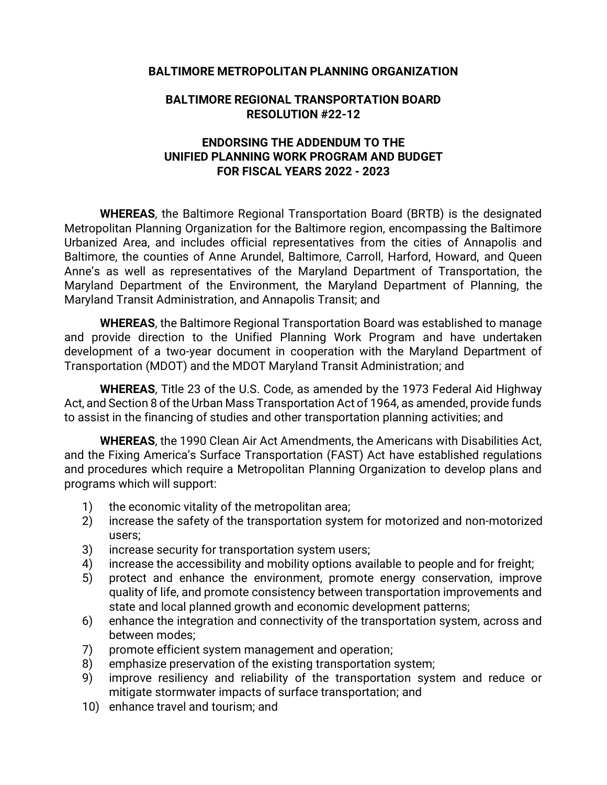## **BALTIMORE METROPOLITAN PLANNING ORGANIZATION**

### **BALTIMORE REGIONAL TRANSPORTATION BOARD RESOLUTION #22-12**

# **ENDORSING THE ADDENDUM TO THE UNIFIED PLANNING WORK PROGRAM AND BUDGET FOR FISCAL YEARS 2022 - 2023**

**WHEREAS**, the Baltimore Regional Transportation Board (BRTB) is the designated Metropolitan Planning Organization for the Baltimore region, encompassing the Baltimore Urbanized Area, and includes official representatives from the cities of Annapolis and Baltimore, the counties of Anne Arundel, Baltimore, Carroll, Harford, Howard, and Queen Anne's as well as representatives of the Maryland Department of Transportation, the Maryland Department of the Environment, the Maryland Department of Planning, the Maryland Transit Administration, and Annapolis Transit; and

**WHEREAS**, the Baltimore Regional Transportation Board was established to manage and provide direction to the Unified Planning Work Program and have undertaken development of a two-year document in cooperation with the Maryland Department of Transportation (MDOT) and the MDOT Maryland Transit Administration; and

**WHEREAS**, Title 23 of the U.S. Code, as amended by the 1973 Federal Aid Highway Act, and Section 8 of the Urban Mass Transportation Act of 1964, as amended, provide funds to assist in the financing of studies and other transportation planning activities; and

**WHEREAS**, the 1990 Clean Air Act Amendments, the Americans with Disabilities Act, and the Fixing America's Surface Transportation (FAST) Act have established regulations and procedures which require a Metropolitan Planning Organization to develop plans and programs which will support:

- 1) the economic vitality of the metropolitan area;
- 2) increase the safety of the transportation system for motorized and non-motorized users;
- 3) increase security for transportation system users;
- 4) increase the accessibility and mobility options available to people and for freight;
- 5) protect and enhance the environment, promote energy conservation, improve quality of life, and promote consistency between transportation improvements and state and local planned growth and economic development patterns;
- 6) enhance the integration and connectivity of the transportation system, across and between modes;
- 7) promote efficient system management and operation;
- 8) emphasize preservation of the existing transportation system;
- 9) improve resiliency and reliability of the transportation system and reduce or mitigate stormwater impacts of surface transportation; and
- 10) enhance travel and tourism; and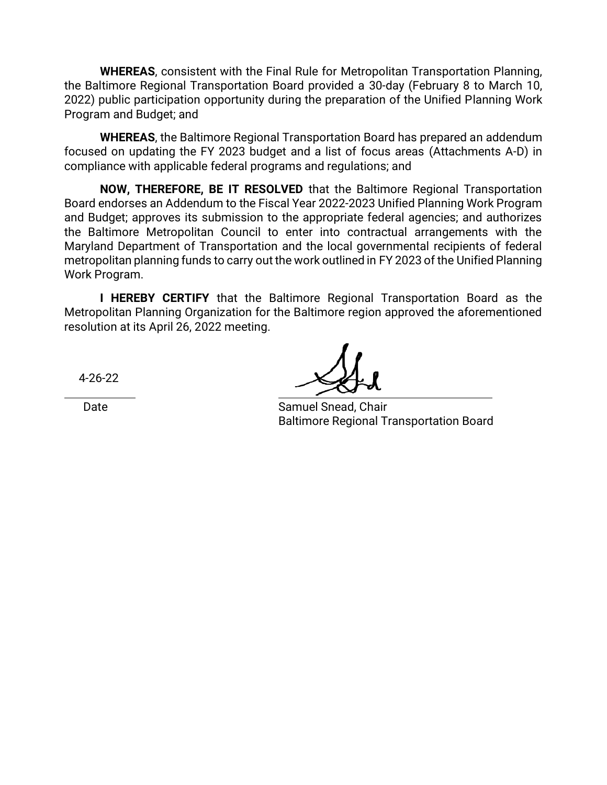**WHEREAS**, consistent with the Final Rule for Metropolitan Transportation Planning, the Baltimore Regional Transportation Board provided a 30-day (February 8 to March 10, 2022) public participation opportunity during the preparation of the Unified Planning Work Program and Budget; and

**WHEREAS**, the Baltimore Regional Transportation Board has prepared an addendum focused on updating the FY 2023 budget and a list of focus areas (Attachments A-D) in compliance with applicable federal programs and regulations; and

**NOW, THEREFORE, BE IT RESOLVED** that the Baltimore Regional Transportation Board endorses an Addendum to the Fiscal Year 2022-2023 Unified Planning Work Program and Budget; approves its submission to the appropriate federal agencies; and authorizes the Baltimore Metropolitan Council to enter into contractual arrangements with the Maryland Department of Transportation and the local governmental recipients of federal metropolitan planning funds to carry out the work outlined in FY 2023 of the Unified Planning Work Program.

**I HEREBY CERTIFY** that the Baltimore Regional Transportation Board as the Metropolitan Planning Organization for the Baltimore region approved the aforementioned resolution at its April 26, 2022 meeting.

4-26-22

Date **Samuel Snead, Chair** Samuel Snead, Chair Baltimore Regional Transportation Board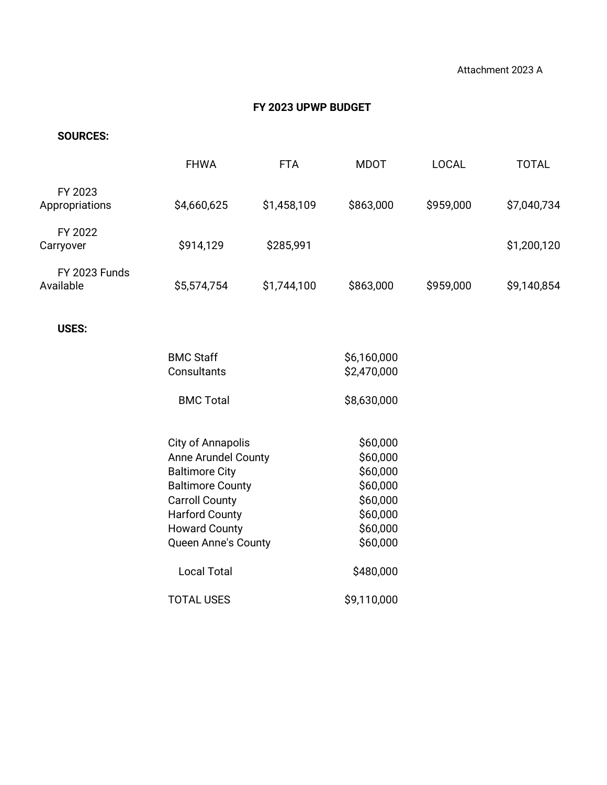# **FY 2023 UPWP BUDGET**

### **SOURCES:**

| <b>FHWA</b>             | <b>FTA</b>                               | <b>MDOT</b>                                                            | <b>LOCAL</b>                                                | <b>TOTAL</b> |
|-------------------------|------------------------------------------|------------------------------------------------------------------------|-------------------------------------------------------------|--------------|
| \$4,660,625             | \$1,458,109                              | \$863,000                                                              | \$959,000                                                   | \$7,040,734  |
| \$914,129               | \$285,991                                |                                                                        |                                                             | \$1,200,120  |
| \$5,574,754             | \$1,744,100                              | \$863,000                                                              | \$959,000                                                   | \$9,140,854  |
|                         |                                          |                                                                        |                                                             |              |
|                         |                                          |                                                                        |                                                             |              |
| Consultants             |                                          | \$2,470,000                                                            |                                                             |              |
| <b>BMC Total</b>        |                                          | \$8,630,000                                                            |                                                             |              |
|                         |                                          |                                                                        |                                                             |              |
|                         |                                          |                                                                        |                                                             |              |
| <b>Baltimore City</b>   |                                          | \$60,000                                                               |                                                             |              |
| <b>Baltimore County</b> |                                          | \$60,000                                                               |                                                             |              |
| <b>Carroll County</b>   |                                          | \$60,000                                                               |                                                             |              |
| <b>Harford County</b>   |                                          | \$60,000                                                               |                                                             |              |
|                         |                                          |                                                                        |                                                             |              |
|                         |                                          |                                                                        |                                                             |              |
| <b>Local Total</b>      |                                          | \$480,000                                                              |                                                             |              |
| <b>TOTAL USES</b>       |                                          | \$9,110,000                                                            |                                                             |              |
|                         | <b>BMC Staff</b><br><b>Howard County</b> | <b>City of Annapolis</b><br>Anne Arundel County<br>Queen Anne's County | \$6,160,000<br>\$60,000<br>\$60,000<br>\$60,000<br>\$60,000 |              |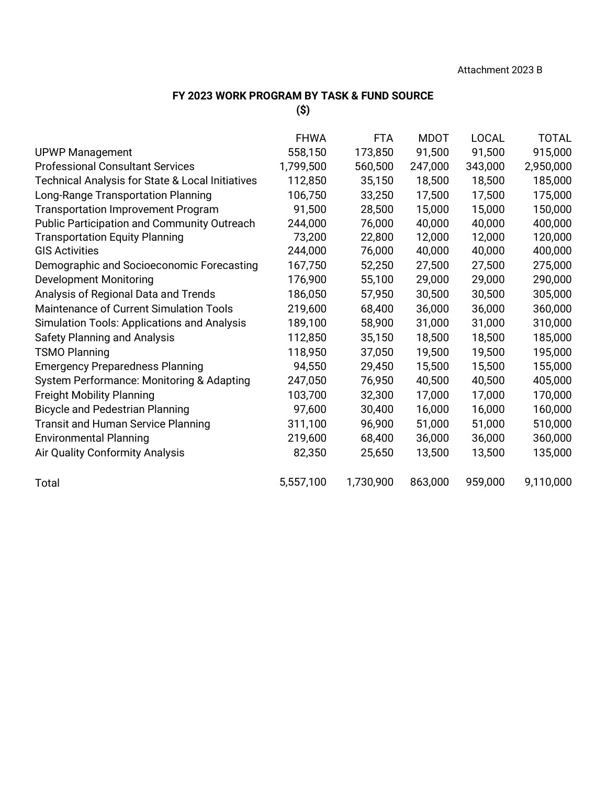### **FY 2023 WORK PROGRAM BY TASK & FUND SOURCE**

**(\$)**

|                                                    | <b>FHWA</b> | <b>FTA</b> | <b>MDOT</b> | <b>LOCAL</b> | <b>TOTAL</b> |
|----------------------------------------------------|-------------|------------|-------------|--------------|--------------|
| <b>UPWP Management</b>                             | 558,150     | 173,850    | 91,500      | 91,500       | 915,000      |
| <b>Professional Consultant Services</b>            | 1,799,500   | 560,500    | 247,000     | 343,000      | 2,950,000    |
| Technical Analysis for State & Local Initiatives   | 112,850     | 35,150     | 18,500      | 18,500       | 185,000      |
| Long-Range Transportation Planning                 | 106,750     | 33,250     | 17,500      | 17,500       | 175,000      |
| <b>Transportation Improvement Program</b>          | 91,500      | 28,500     | 15,000      | 15,000       | 150,000      |
| <b>Public Participation and Community Outreach</b> | 244,000     | 76,000     | 40,000      | 40,000       | 400,000      |
| <b>Transportation Equity Planning</b>              | 73,200      | 22,800     | 12,000      | 12,000       | 120,000      |
| <b>GIS Activities</b>                              | 244,000     | 76,000     | 40,000      | 40,000       | 400,000      |
| Demographic and Socioeconomic Forecasting          | 167,750     | 52,250     | 27,500      | 27,500       | 275,000      |
| <b>Development Monitoring</b>                      | 176,900     | 55,100     | 29,000      | 29,000       | 290,000      |
| Analysis of Regional Data and Trends               | 186,050     | 57,950     | 30,500      | 30,500       | 305,000      |
| Maintenance of Current Simulation Tools            | 219,600     | 68,400     | 36,000      | 36,000       | 360,000      |
| <b>Simulation Tools: Applications and Analysis</b> | 189,100     | 58,900     | 31,000      | 31,000       | 310,000      |
| <b>Safety Planning and Analysis</b>                | 112,850     | 35,150     | 18,500      | 18,500       | 185,000      |
| <b>TSMO Planning</b>                               | 118,950     | 37,050     | 19,500      | 19,500       | 195,000      |
| <b>Emergency Preparedness Planning</b>             | 94,550      | 29,450     | 15,500      | 15,500       | 155,000      |
| System Performance: Monitoring & Adapting          | 247,050     | 76,950     | 40,500      | 40,500       | 405,000      |
| <b>Freight Mobility Planning</b>                   | 103,700     | 32,300     | 17,000      | 17,000       | 170,000      |
| <b>Bicycle and Pedestrian Planning</b>             | 97,600      | 30,400     | 16,000      | 16,000       | 160,000      |
| <b>Transit and Human Service Planning</b>          | 311,100     | 96,900     | 51,000      | 51,000       | 510,000      |
| <b>Environmental Planning</b>                      | 219,600     | 68,400     | 36,000      | 36,000       | 360,000      |
| Air Quality Conformity Analysis                    | 82,350      | 25,650     | 13,500      | 13,500       | 135,000      |
| Total                                              | 5,557,100   | 1,730,900  | 863,000     | 959,000      | 9,110,000    |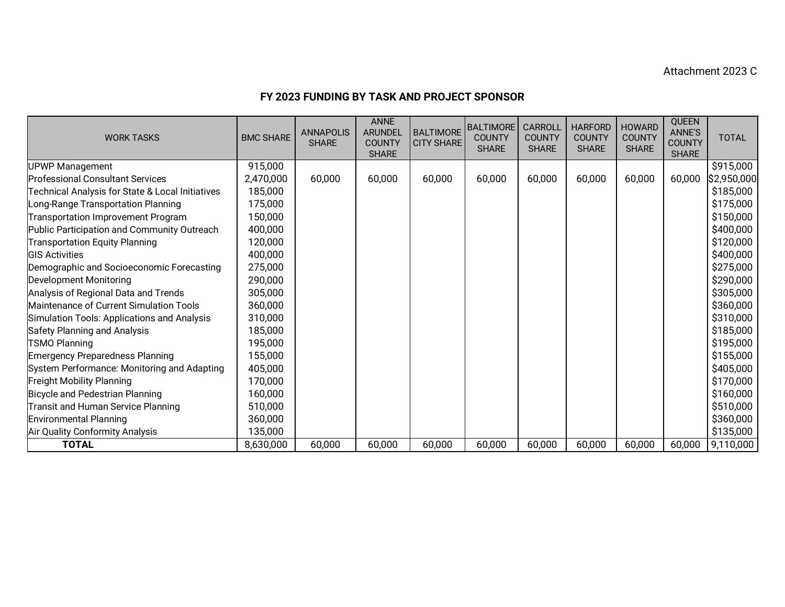#### Attachment 2023 C

### **FY 2023 FUNDING BY TASK AND PROJECT SPONSOR**

| <b>WORK TASKS</b>                                | <b>BMC SHARE</b> | <b>ANNAPOLIS</b><br><b>SHARE</b> | <b>ANNE</b><br><b>ARUNDEL</b><br><b>COUNTY</b><br><b>SHARE</b> | <b>BALTIMORE</b><br><b>CITY SHARE</b> | <b>BALTIMORE</b><br><b>COUNTY</b><br><b>SHARE</b> | <b>CARROLL</b><br><b>COUNTY</b><br><b>SHARE</b> | <b>HARFORD</b><br><b>COUNTY</b><br><b>SHARE</b> | <b>HOWARD</b><br><b>COUNTY</b><br><b>SHARE</b> | QUEEN<br><b>ANNE'S</b><br><b>COUNTY</b><br><b>SHARE</b> | <b>TOTAL</b> |
|--------------------------------------------------|------------------|----------------------------------|----------------------------------------------------------------|---------------------------------------|---------------------------------------------------|-------------------------------------------------|-------------------------------------------------|------------------------------------------------|---------------------------------------------------------|--------------|
| <b>UPWP Management</b>                           | 915,000          |                                  |                                                                |                                       |                                                   |                                                 |                                                 |                                                |                                                         | \$915,000    |
| <b>Professional Consultant Services</b>          | 2,470,000        | 60,000                           | 60,000                                                         | 60,000                                | 60,000                                            | 60,000                                          | 60,000                                          | 60,000                                         | 60,000                                                  | \$2,950,000  |
| Technical Analysis for State & Local Initiatives | 185,000          |                                  |                                                                |                                       |                                                   |                                                 |                                                 |                                                |                                                         | \$185,000    |
| Long-Range Transportation Planning               | 175,000          |                                  |                                                                |                                       |                                                   |                                                 |                                                 |                                                |                                                         | \$175,000    |
| Transportation Improvement Program               | 150,000          |                                  |                                                                |                                       |                                                   |                                                 |                                                 |                                                |                                                         | \$150,000    |
| Public Participation and Community Outreach      | 400,000          |                                  |                                                                |                                       |                                                   |                                                 |                                                 |                                                |                                                         | \$400,000    |
| <b>Transportation Equity Planning</b>            | 120,000          |                                  |                                                                |                                       |                                                   |                                                 |                                                 |                                                |                                                         | \$120,000    |
| <b>GIS Activities</b>                            | 400,000          |                                  |                                                                |                                       |                                                   |                                                 |                                                 |                                                |                                                         | \$400,000    |
| Demographic and Socioeconomic Forecasting        | 275,000          |                                  |                                                                |                                       |                                                   |                                                 |                                                 |                                                |                                                         | \$275,000    |
| <b>Development Monitoring</b>                    | 290,000          |                                  |                                                                |                                       |                                                   |                                                 |                                                 |                                                |                                                         | \$290,000    |
| Analysis of Regional Data and Trends             | 305,000          |                                  |                                                                |                                       |                                                   |                                                 |                                                 |                                                |                                                         | \$305,000    |
| Maintenance of Current Simulation Tools          | 360,000          |                                  |                                                                |                                       |                                                   |                                                 |                                                 |                                                |                                                         | \$360,000    |
| Simulation Tools: Applications and Analysis      | 310,000          |                                  |                                                                |                                       |                                                   |                                                 |                                                 |                                                |                                                         | \$310,000    |
| Safety Planning and Analysis                     | 185,000          |                                  |                                                                |                                       |                                                   |                                                 |                                                 |                                                |                                                         | \$185,000    |
| <b>TSMO Planning</b>                             | 195,000          |                                  |                                                                |                                       |                                                   |                                                 |                                                 |                                                |                                                         | \$195,000    |
| Emergency Preparedness Planning                  | 155,000          |                                  |                                                                |                                       |                                                   |                                                 |                                                 |                                                |                                                         | \$155,000    |
| System Performance: Monitoring and Adapting      | 405,000          |                                  |                                                                |                                       |                                                   |                                                 |                                                 |                                                |                                                         | \$405,000    |
| <b>Freight Mobility Planning</b>                 | 170,000          |                                  |                                                                |                                       |                                                   |                                                 |                                                 |                                                |                                                         | \$170,000    |
| Bicycle and Pedestrian Planning                  | 160,000          |                                  |                                                                |                                       |                                                   |                                                 |                                                 |                                                |                                                         | \$160,000    |
| Transit and Human Service Planning               | 510,000          |                                  |                                                                |                                       |                                                   |                                                 |                                                 |                                                |                                                         | \$510,000    |
| Environmental Planning                           | 360,000          |                                  |                                                                |                                       |                                                   |                                                 |                                                 |                                                |                                                         | \$360,000    |
| Air Quality Conformity Analysis                  | 135,000          |                                  |                                                                |                                       |                                                   |                                                 |                                                 |                                                |                                                         | \$135,000    |
| <b>TOTAL</b>                                     | 8,630,000        | 60,000                           | 60,000                                                         | 60,000                                | 60,000                                            | 60,000                                          | 60,000                                          | 60,000                                         | 60,000                                                  | 9,110,000    |